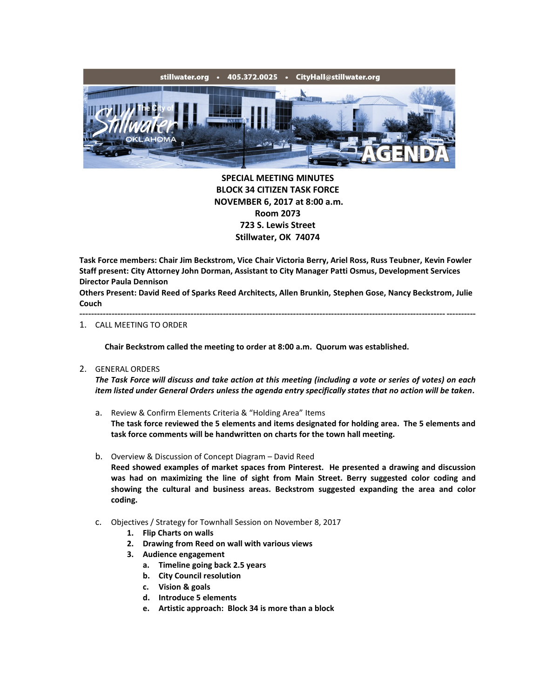

**SPECIAL MEETING MINUTES BLOCK 34 CITIZEN TASK FORCE NOVEMBER 6, 2017 at 8:00 a.m. Room 2073 723 S. Lewis Street Stillwater, OK 74074**

**Task Force members: Chair Jim Beckstrom, Vice Chair Victoria Berry, Ariel Ross, Russ Teubner, Kevin Fowler Staff present: City Attorney John Dorman, Assistant to City Manager Patti Osmus, Development Services Director Paula Dennison**

**Others Present: David Reed of Sparks Reed Architects, Allen Brunkin, Stephen Gose, Nancy Beckstrom, Julie Couch** ---------------------------------------------------------------------------------------------------------------------------------------

## 1. CALL MEETING TO ORDER

**Chair Beckstrom called the meeting to order at 8:00 a.m. Quorum was established.**

2. GENERAL ORDERS

*The Task Force will discuss and take action at this meeting (including a vote or series of votes) on each item listed under General Orders unless the agenda entry specifically states that no action will be taken.*

- a. Review & Confirm Elements Criteria & "Holding Area" Items **The task force reviewed the 5 elements and items designated for holding area. The 5 elements and task force comments will be handwritten on charts for the town hall meeting.**
- b. Overview & Discussion of Concept Diagram David Reed

**Reed showed examples of market spaces from Pinterest. He presented a drawing and discussion was had on maximizing the line of sight from Main Street. Berry suggested color coding and showing the cultural and business areas. Beckstrom suggested expanding the area and color coding.**

- c. Objectives / Strategy for Townhall Session on November 8, 2017
	- **1. Flip Charts on walls**
	- **2. Drawing from Reed on wall with various views**
	- **3. Audience engagement**
		- **a. Timeline going back 2.5 years**
		- **b. City Council resolution**
		- **c. Vision & goals**
		- **d. Introduce 5 elements**
		- **e. Artistic approach: Block 34 is more than a block**